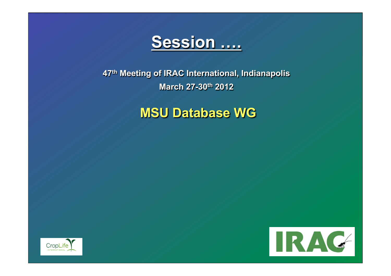

**47th Meeting of IRAC International, Indianapolis March 27-30th 2012** 

**MSU Database WG** 



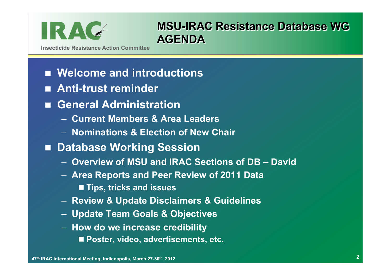

### **MSU-IRAC Resistance Database WG AGENDA**

**Insecticide Resistance Action Committee** 

## ■ Welcome and introductions

- n **Anti-trust reminder**
- n **General Administration** 
	- **Current Members & Area Leaders**
	- **Nominations & Election of New Chair**
- Database Working Session
	- **Overview of MSU and IRAC Sections of DB David**
	- **Area Reports and Peer Review of 2011 Data** 
		- Tips, tricks and issues
	- **Review & Update Disclaimers & Guidelines**
	- **Update Team Goals & Objectives**
	- **How do we increase credibility**  ■ Poster, video, advertisements, etc.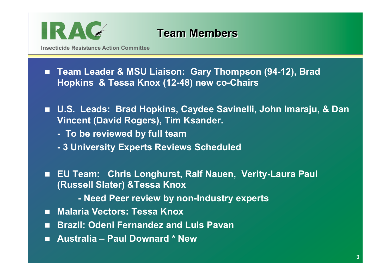

### **Team Members**

**Insecticide Resistance Action Committee** 

- Team Leader & MSU Liaison: Gary Thompson (94-12), Brad **Hopkins & Tessa Knox (12-48) new co-Chairs**
- U.S. Leads: Brad Hopkins, Caydee Savinelli, John Imaraju, & Dan **Vincent (David Rogers), Tim Ksander.** 
	- **To be reviewed by full team**
	- **3 University Experts Reviews Scheduled**
- EU Team: Chris Longhurst, Ralf Nauen, Verity-Laura Paul **(Russell Slater) &Tessa Knox** 
	- **Need Peer review by non-Industry experts**
- Malaria Vectors: Tessa Knox
- **n** Brazil: Odeni Fernandez and Luis Pavan
- n **Australia Paul Downard \* New**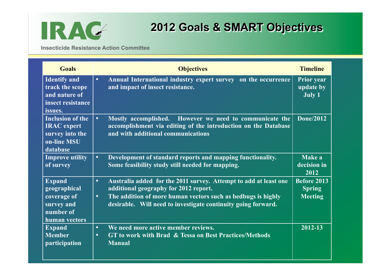

# **2012 Goals & SMART Objectives**

**Insecticide Resistance Action Committee** 

| <b>Goals</b>                                                                                | <b>Objectives</b>                                                                                                                                                                                                                                                    | <b>Timeline</b>                                       |
|---------------------------------------------------------------------------------------------|----------------------------------------------------------------------------------------------------------------------------------------------------------------------------------------------------------------------------------------------------------------------|-------------------------------------------------------|
| <b>Identify</b> and<br>track the scope<br>and nature of<br>insect resistance<br>issues.     | Annual International industry expert survey on the occurrence<br>$\bullet$<br>and impact of insect resistance.                                                                                                                                                       | <b>Prior year</b><br>update by<br><b>July 1</b>       |
| <b>Inclusion of the</b><br><b>IRAC</b> expert<br>survey into the<br>on-line MSU<br>database | $\bullet$<br>Mostly accomplished. However we need to communicate the<br>accomplishment via editing of the introduction on the Database<br>and with additional communications                                                                                         | Done/2012                                             |
| <b>Improve utility</b><br>of survey                                                         | Development of standard reports and mapping functionality.<br>$\bullet$<br>Some feasibility study still needed for mapping.                                                                                                                                          | Make a<br>decision in<br>2012                         |
| <b>Expand</b><br>geographical<br>coverage of<br>survey and<br>number of<br>human vectors    | Australia added for the 2011 survey. Attempt to add at least one<br>$\bullet$<br>additional geography for 2012 report.<br>The addition of more human vectors such as bedbugs is highly<br>$\bullet$<br>desirable. Will need to investigate continuity going forward. | <b>Before 2013</b><br><b>Spring</b><br><b>Meeting</b> |
| <b>Expand</b><br><b>Member</b><br>participation                                             | We need more active member reviews.<br>$\bullet$<br>GT to work with Brad & Tessa on Best Practices/Methods<br>$\bullet$<br><b>Manual</b>                                                                                                                             | 2012-13                                               |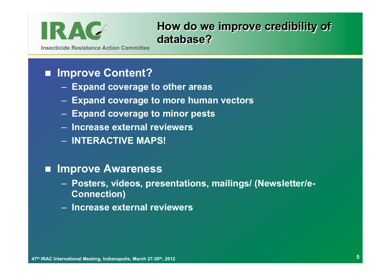

**How do we improve credibility of database?** 

**Insecticide Resistance Action Committee** 

### n **Improve Content?**

- **Expand coverage to other areas**
- **Expand coverage to more human vectors**
- **Expand coverage to minor pests**
- **Increase external reviewers**
- **INTERACTIVE MAPS!**

### ■ **Improve Awareness**

- **Posters, videos, presentations, mailings/ (Newsletter/e-Connection)**
- **Increase external reviewers**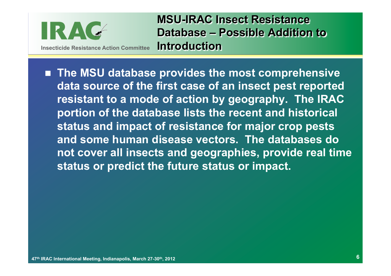

**MSU-IRAC Insect Resistance Database – Possible Addition to Introduction** 

■ The MSU database provides the most comprehensive **data source of the first case of an insect pest reported resistant to a mode of action by geography. The IRAC portion of the database lists the recent and historical status and impact of resistance for major crop pests and some human disease vectors. The databases do not cover all insects and geographies, provide real time status or predict the future status or impact.**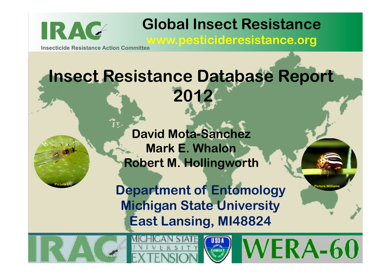

<u>÷emm</u>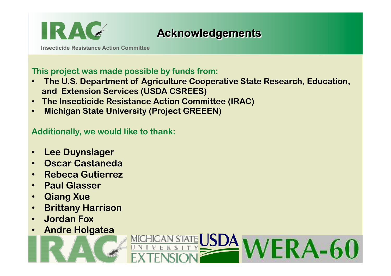

# **Acknowledgements**

**Insecticide Resistance Action Committee** 

#### **This project was made possible by funds from:**

- • **The U.S. Department of Agriculture Cooperative State Research, Education, and Extension Services (USDA CSREES)**
- **The Insecticide Resistance Action Committee (IRAC)**
- • **Michigan State University (Project GREEEN)**

**Additionally, we would like to thank:** 

- **Lee Duynslager**
- **Oscar Castaneda**
- **Rebeca Gutierrez**
- **Paul Glasser**
- **Qiang Xue**
- **Brittany Harrison**
- **Jordan Fox**
- **Andre Holgatea**

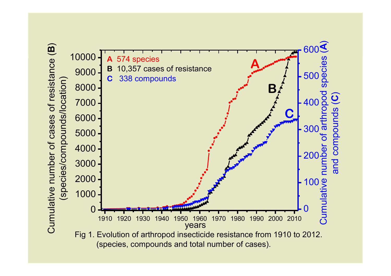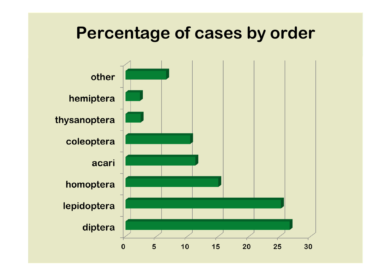# **Percentage of cases by order**

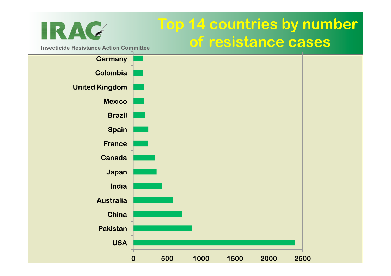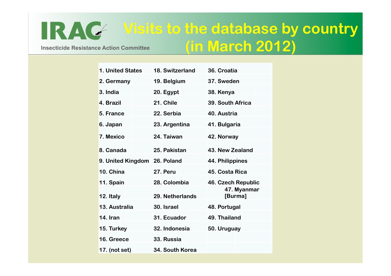### **Insecticide Resistance Action Committee Visits to the database by country (in March 2012)**

**1. United States 18. Switzerland 36. Croatia 2. Germany 19. Belgium 37. Sweden 3. India 20. Egypt 38. Kenya 4. Brazil 21. Chile 39. South Africa 5. France 22. Serbia 40. Austria 6. Japan 23. Argentina 41. Bulgaria 7. Mexico 24. Taiwan 42. Norway 8. Canada 25. Pakistan 43. New Zealand 9. United Kingdom 26. Poland 44. Philippines 10. China 27. Peru 45. Costa Rica 11. Spain 28. Colombia 46. Czech Republic 12. Italy 29. Netherlands 47. Myanmar [Burma] 13. Australia 30. Israel 48. Portugal 14. Iran 31. Ecuador 49. Thailand 15. Turkey 32. Indonesia 50. Uruguay 16. Greece 33. Russia 17. (not set) 34. South Korea** 

IRAG